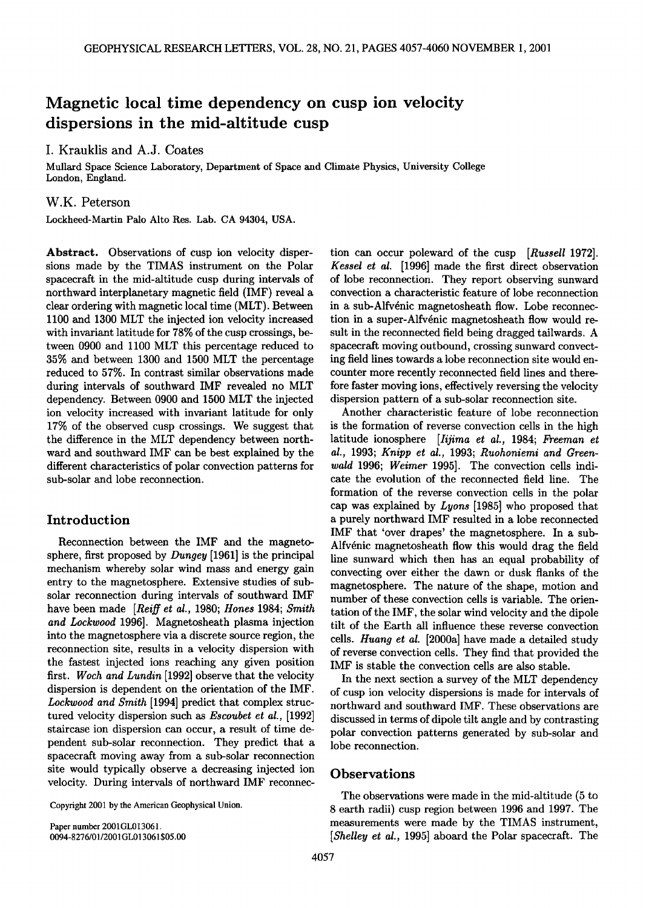# **Magnetic local time dependency on cusp ion velocity dispersions in the mid-altitude cusp**

## **I. Krauklis and A.J. Coates**

**Mullard Space Science Laboratory, Department of Space and Climate Physics, University College London, England.** 

#### **W.K. Peterson**

**Lockheed-Martin Palo Alto Res. Lab. CA 94304, USA.** 

**Abstract. Observations of cusp ion velocity dispersions made by the TIMAS instrument on the Polar spacecraft in the mid-altitude cusp during intervals of northward interplanetary magnetic field (IMF) reveal a clear ordering with magnetic local time (MLT). Between 1100 and 1300 MLT the injected ion velocity increased with invariant latitude for 78% of the cusp crossings, between 0900 and 1100 MLT this percentage reduced to 35% and between 1300 and 1500 MLT the percentage reduced to 57%. In contrast similar observations made during intervals of southward IMF revealed no MLT dependency. Between 0900 and 1500 MLT the injected ion velocity increased with invariant latitude for only 17% of the observed cusp crossings. We suggest that the difference in the MLT dependency between northward and southward IMF can be best explained by the different characteristics of polar convection patterns for sub-solar and lobe reconnection.** 

## **Introduction**

**Reconnection between the IMF and the magnetosphere, first proposed by Dungey [1961] is the principal mechanism whereby solar wind mass and energy gain entry to the magnetosphere. Extensive studies of subsolar reconnection during intervals of southward IMF have been made [Reiff et al., 1980; Hones 1984; Smith and Lockwood 1996]. Magnetosheath plasma injection into the magnetosphere via a discrete source region, the reconnection site, results in a velocity dispersion with the fastest injected ions reaching any given position first. Woch and Lundin [1992] observe that the velocity dispersion is dependent on the orientation of the IMF. Lockwood and Smith [1994] predict that complex structured velocity dispersion such as Escoubet et al., [1992] staircase ion dispersion can occur, a result of time dependent sub-solar reconnection. They predict that a spacecraft moving away from a sub-solar reconnection site would typically observe a decreasing injected ion velocity. During intervals of northward IMF reconnec-**

**Copyright 2001 by the American Geophysical Union.** 

**Paper number 2001GL013061. 0094-8276/01/2001GL013061 \$05.00**  **tion can occur poleward of the cusp [Russell 1972]. Kessel et al. [1996] made the first direct observation of lobe reconnection. They report observing sunward convection a characteristic feature of lobe reconnection**  in a sub-Alfvénic magnetosheath flow. Lobe reconnection in a super-Alfvénic magnetosheath flow would re**sult in the reconnected field being dragged tailwards. A spacecraft moving outbound, crossing sunward convecting field lines towards a lobe reconnection site would encounter more recently reconnected field lines and therefore faster moving ions, effectively reversing the velocity dispersion pattern of a sub-solar reconnection site.** 

**Another characteristic feature of lobe reconnection is the formation of reverse convection cells in the high latitude ionosphere [Iijima et al., 1984; Freeman et al., 1993; Knipp et al., 1993; Ruohoniemi and Greenwald 1996; Weimer 1995]. The convection cells indicate the evolution of the reconnected field line. The formation of the reverse convection cells in the polar cap was explained by Lyons [1985] who proposed that a purely northward IMF resulted in a lobe reconnected IMF that 'over drapes' the magnetosphere. In a sub-**Alfvénic magnetosheath flow this would drag the field **line sunward which then has an equal probability of convecting over either the dawn or dusk flanks of the magnetosphere. The nature of the shape, motion and number of these convection cells is variable. The orientation of the IMF, the solar wind velocity and the dipole tilt of the Earth all influence these reverse convection cells. Huang et al. [2000a] have made a detailed study of reverse convection cells. They find that provided the IMF is stable the convection cells are also stable.** 

**In the next section a survey of the MLT dependency of cusp ion velocity dispersions is made for intervals of northward and southward IMF. These observations are discussed in terms of dipole tilt angle and by contrasting polar convection patterns generated by sub-solar and lobe reconnection.** 

### **Observations**

**The observations were made in the mid-altitude (5 to 8 earth radii) cusp region between 1996 and 1997. The measurements were made by the TIMAS instrument, [Shelley et al., 1995] aboard the Polar spacecraft. The**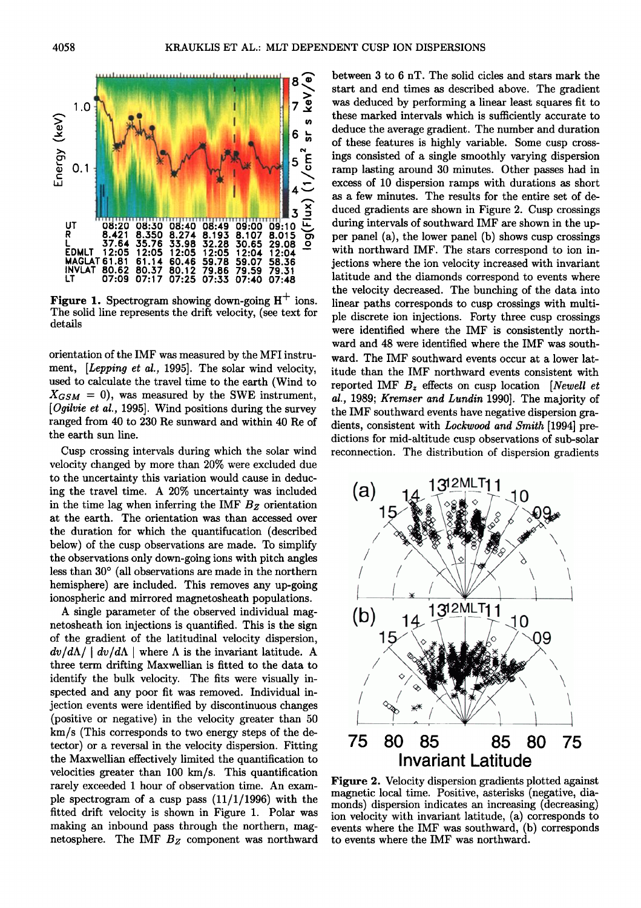

Figure 1. Spectrogram showing down-going H<sup>+</sup> ions. **The solid line represents the drift velocity, (see text for details** 

**orientation of the IMF was measured by the MFI instrument, [Lepping et al., 1995]. The solar wind velocity, used to calculate the travel time to the earth (Wind to**   $X_{GSM} = 0$ , was measured by the SWE instrument, **[Ogilvie et al., 1995]. Wind positions during the survey ranged from 40 to 230 Re sunward and within 40 Re of the earth sun line.** 

**Cusp crossing intervals during which the solar wind velocity changed by more than 20% were excluded due to the uncertainty this variation would cause in deducing the travel time. A 20% uncertainty was included in the time lag when inferring the IMF Bz orientation at the earth. The orientation was than accessed over the duration for which the quantifucation (described below) of the cusp observations are made. To simplify the observations only down-going ions with pitch angles**  less than 30° (all observations are made in the northern **hemisphere) are included. This removes any up-going ionospheric and mirrored magnetosheath populations.** 

**A single parameter of the observed individual magnetosheath ion injections is quantified. This is the sign of the gradient of the latitudinal velocity dispersion,**   $dv/d\Lambda$  |  $dv/d\Lambda$  | where  $\Lambda$  is the invariant latitude. A **three term drifting Maxwellian is fitted to the data to identify the bulk velocity. The fits were visually inspected and any poor fit was removed. Individual injection events were identified by discontinuous changes (positive or negative) in the velocity greater than 50 km/s (This corresponds to two energy steps of the detector) or a reversal in the velocity dispersion. Fitting the Maxwellian effectively limited the quantification to velocities greater than 100 km/s. This quantification rarely exceeded 1 hour of observation time. An example spectrogram of a cusp pass (11/1/1996) with the fitted drift velocity is shown in Figure 1. Polar was making an inbound pass through the northern, mag**netosphere. The IMF  $B_Z$  component was northward **between 3 to 6 nT. The solid cicles and stars mark the start and end times as described above. The gradient was deduced by performing a linear least squares fit to these marked intervals which is sufficiently accurate to deduce the average gradient. The number and duration of these features is highly variable. Some cusp crossings consisted of a single smoothly varying dispersion ramp lasting around 30 minutes. Other passes had in excess of 10 dispersion ramps with durations as short as a few minutes. The results for the entire set of deduced gradients are shown in Figure 2. Cusp crossings during intervals of southward IMF are shown in the upper panel (a), the lower panel (b) shows cusp crossings with northward IMF. The stars correspond to ion injections where the ion velocity increased with invariant latitude and the diamonds correspond to events where the velocity decreased. The bunching of the data into linear paths corresponds to cusp crossings with multiple discrete ion injections. Forty three cusp crossings were identified where the IMF is consistently northward and 48 were identified where the IMF was southward. The IMF southward events occur at a lower latitude than the IMF northward events consistent with**  reported IMF  $B<sub>z</sub>$  effects on cusp location [Newell et **al., 1989; Kremser and Lundin 1990]. The majority of the IMF southward events have negative dispersion gradients, consistent with Lockwood and Smith [1994] predictions for mid-altitude cusp observations of sub-solar reconnection. The distribution of dispersion gradients** 



**Figure 2. Velocity dispersion gradients plotted against magnetic local time. Positive, asterisks (negative, diamonds) dispersion indicates an increasing (decreasing) ion velocity with invariant latitude, (a) corresponds to events where the IMF was southward, (b) corresponds to events where the IMF was northward.**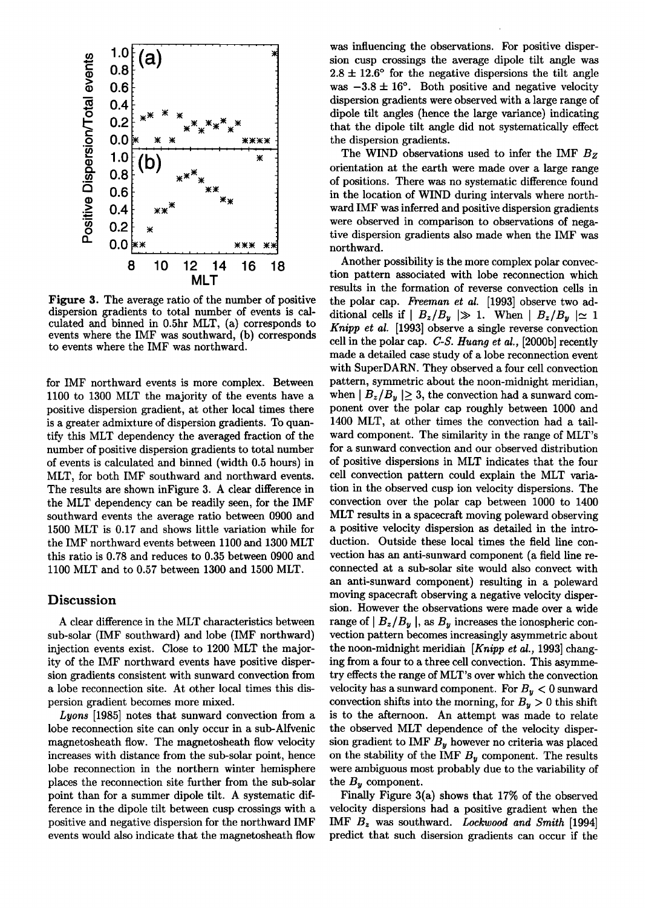

**Figure 3. The average ratio of the number of positive dispersion gradients to total number of events is calculated and binned in 0.5hr MLT, (a) corresponds to events where the IMF was southward, (b) corresponds to events where the IMF was northward.** 

**for IMF northward events is more complex. Between 1100 to 1300 MLT the majority of the events have a positive dispersion gradient, at other local times there is a greater admixture of dispersion gradients. To quantify this MLT dependency the averaged fraction of the number of positive dispersion gradients to total number of events is calculated and binned (width 0.5 hours) in MLT, for both IMF southward and northward events. The results are shown inFigure 3. A clear difference in the MLT dependency can be readily seen, for the IMF southward events the average ratio between 0900 and 1500 MLT is 0.17 and shows little variation while for the IMF northward events between 1100 and 1300 MLT this ratio is 0.78 and reduces to 0.35 between 0900 and 1100 MLT and to 0.57 between 1300 and 1500 MLT.** 

# **Discussion**

**A clear difference in the MLT characteristics between sub-solar (IMF southward) and lobe (IMF northward) injection events exist. Close to 1200 MLT the majority of the IMF northward events have positive dispersion gradients consistent with sunward convection from a lobe reconnection site. At other local times this dispersion gradient becomes more mixed.** 

**Lyons [1985] notes that sunward convection from a lobe reconnection site can only occur in a sub-Alfvenic magnetosheath flow. The magnetosheath flow velocity increases with distance from the sub-solar point, hence lobe reconnection in the northern winter hemisphere places the reconnection site further from the sub-solar point than for a summer dipole tilt. A systematic difference in the dipole tilt between cusp crossings with a positive and negative dispersion for the northward IMF events would also indicate that the magnetosheath flow** 

**was influencing the observations. For positive dispersion cusp crossings the average dipole tilt angle was**   $2.8 \pm 12.6^{\circ}$  for the negative dispersions the tilt angle was  $-3.8 \pm 16^{\circ}$ . Both positive and negative velocity **dispersion gradients were observed with a large range of dipole tilt angles (hence the large variance) indicating that the dipole tilt angle did not systematically effect the dispersion gradients.** 

The WIND observations used to infer the IMF  $B_Z$ **orientation at the earth were made over a large range of positions. There was no systematic difference found in the location of WIND during intervals where northward IMF was inferred and positive dispersion gradients were observed in comparison to observations of negative dispersion gradients also made when the IMF was northward.** 

**Another possibility is the more complex polar convection pattern associated with lobe reconnection which results in the formation of reverse convection cells in the polar cap. Freeman et al. [1993] observe two ad**ditional cells if  $B_z/B_y \gg 1$ . When  $B_z/B_y \approx 1$ **Knipp et al. [1993] observe a single reverse convection cell in the polar cap. C-S. Huang et al., [2000hi recently made a detailed case study of a lobe reconnection event with SuperDARN. They observed a four cell convection pattern, symmetric about the noon-midnight meridian,**  when  $| B_z/B_y | \geq 3$ , the convection had a sunward com**ponent over the polar cap roughly between 1000 and 1400 MLT, at other times the convection had a tailward component. The similarity in the range of MLT's for a sunward convection and our observed distribution of positive dispersions in MLT indicates that the four cell convection pattern could explain the MLT variation in the observed cusp ion velocity dispersions. The convection over the polar cap between 1000 to 1400 MLT results in a spacecraft moving poleward observing a positive velocity dispersion as detailed in the introduction. Outside these local times the field line convection has an anti-sunward component (a field line reconnected at a sub-solar site would also convect with an anti-sunward component) resulting in a poleward moving spacecraft observing a negative velocity dispersion. However the observations were made over a wide**  range of  $|B_z/B_y|$ , as  $B_y$  increases the ionospheric con**vection pattern becomes increasingly asymmetric about the noon-midnight meridian [Knipp et al., 1993] changing from a four to a three cell convection. This asymmetry effects the range of MLT's over which the convection**  velocity has a sunward component. For  $B_y < 0$  sunward convection shifts into the morning, for  $B_y > 0$  this shift **is to the afternoon. An attempt was made to relate the observed MLT dependence of the velocity dispersion gradient to IMF By however no criteria was placed on the stability of the IMF By component. The results were ambiguous most probably due to the variability of**  the  $B<sub>y</sub>$  component.

**Finally Figure 3(a) shows that 17% of the observed velocity dispersions had a positive gradient when the IMF Bz was southward. Lockwood and Smith [1994] predict that such disersion gradients can occur if the**